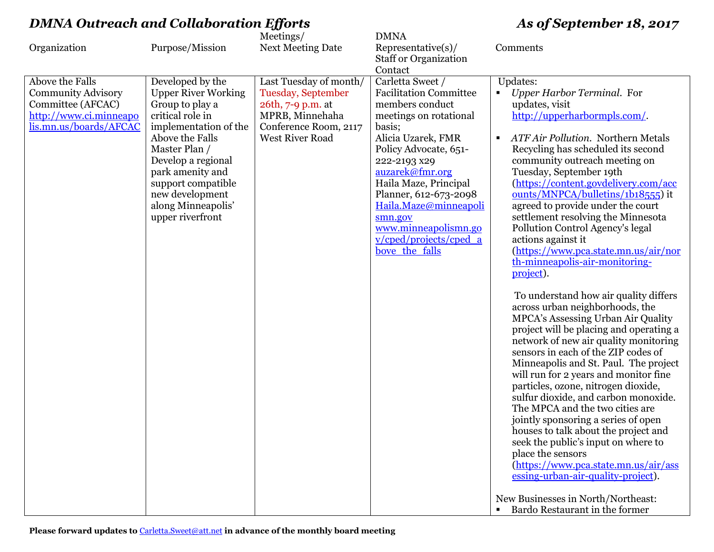|                                                                                                                       |                                                                                                                                                                                                                                                                                 | Meetings/                                                                                                                        | <b>DMNA</b>                                                                                                                                                                                                                                                                                                                                                                   |                                                                                                                                                                                                                                                                                                                                                                                                                                                                                                                                                                                                                                                                                                                                                                                                     |
|-----------------------------------------------------------------------------------------------------------------------|---------------------------------------------------------------------------------------------------------------------------------------------------------------------------------------------------------------------------------------------------------------------------------|----------------------------------------------------------------------------------------------------------------------------------|-------------------------------------------------------------------------------------------------------------------------------------------------------------------------------------------------------------------------------------------------------------------------------------------------------------------------------------------------------------------------------|-----------------------------------------------------------------------------------------------------------------------------------------------------------------------------------------------------------------------------------------------------------------------------------------------------------------------------------------------------------------------------------------------------------------------------------------------------------------------------------------------------------------------------------------------------------------------------------------------------------------------------------------------------------------------------------------------------------------------------------------------------------------------------------------------------|
| Organization                                                                                                          | Purpose/Mission                                                                                                                                                                                                                                                                 | <b>Next Meeting Date</b>                                                                                                         | $Representative(s)$ /                                                                                                                                                                                                                                                                                                                                                         | Comments                                                                                                                                                                                                                                                                                                                                                                                                                                                                                                                                                                                                                                                                                                                                                                                            |
|                                                                                                                       |                                                                                                                                                                                                                                                                                 |                                                                                                                                  |                                                                                                                                                                                                                                                                                                                                                                               |                                                                                                                                                                                                                                                                                                                                                                                                                                                                                                                                                                                                                                                                                                                                                                                                     |
| Above the Falls<br><b>Community Advisory</b><br>Committee (AFCAC)<br>http://www.ci.minneapo<br>lis.mn.us/boards/AFCAC | Developed by the<br><b>Upper River Working</b><br>Group to play a<br>critical role in<br>implementation of the<br>Above the Falls<br>Master Plan /<br>Develop a regional<br>park amenity and<br>support compatible<br>new development<br>along Minneapolis'<br>upper riverfront | Last Tuesday of month/<br>Tuesday, September<br>26th, 7-9 p.m. at<br>MPRB, Minnehaha<br>Conference Room, 2117<br>West River Road | <b>Staff or Organization</b><br>Contact<br>Carletta Sweet /<br><b>Facilitation Committee</b><br>members conduct<br>meetings on rotational<br>basis;<br>Alicia Uzarek, FMR<br>Policy Advocate, 651-<br>222-2193 x29<br>auzarek@fmr.org<br>Haila Maze, Principal<br>Planner, 612-673-2098<br>Haila.Maze@minneapoli<br>smn.gov<br>www.minneapolismn.go<br>v/cped/projects/cped a | Updates:<br>Upper Harbor Terminal. For<br>$\blacksquare$<br>updates, visit<br>http://upperharbormpls.com/.<br><b>ATF Air Pollution. Northern Metals</b><br>Recycling has scheduled its second<br>community outreach meeting on<br>Tuesday, September 19th<br>(https://content.govdelivery.com/acc<br>ounts/MNPCA/bulletins/1b18555) it<br>agreed to provide under the court<br>settlement resolving the Minnesota<br>Pollution Control Agency's legal<br>actions against it                                                                                                                                                                                                                                                                                                                         |
|                                                                                                                       |                                                                                                                                                                                                                                                                                 |                                                                                                                                  | bove the falls                                                                                                                                                                                                                                                                                                                                                                | (https://www.pca.state.mn.us/air/nor<br>th-minneapolis-air-monitoring-<br>project).<br>To understand how air quality differs<br>across urban neighborhoods, the<br>MPCA's Assessing Urban Air Quality<br>project will be placing and operating a<br>network of new air quality monitoring<br>sensors in each of the ZIP codes of<br>Minneapolis and St. Paul. The project<br>will run for 2 years and monitor fine<br>particles, ozone, nitrogen dioxide,<br>sulfur dioxide, and carbon monoxide.<br>The MPCA and the two cities are<br>jointly sponsoring a series of open<br>houses to talk about the project and<br>seek the public's input on where to<br>place the sensors<br>(https://www.pca.state.mn.us/air/ass<br>essing-urban-air-quality-project).<br>New Businesses in North/Northeast: |
|                                                                                                                       |                                                                                                                                                                                                                                                                                 |                                                                                                                                  |                                                                                                                                                                                                                                                                                                                                                                               | • Bardo Restaurant in the former                                                                                                                                                                                                                                                                                                                                                                                                                                                                                                                                                                                                                                                                                                                                                                    |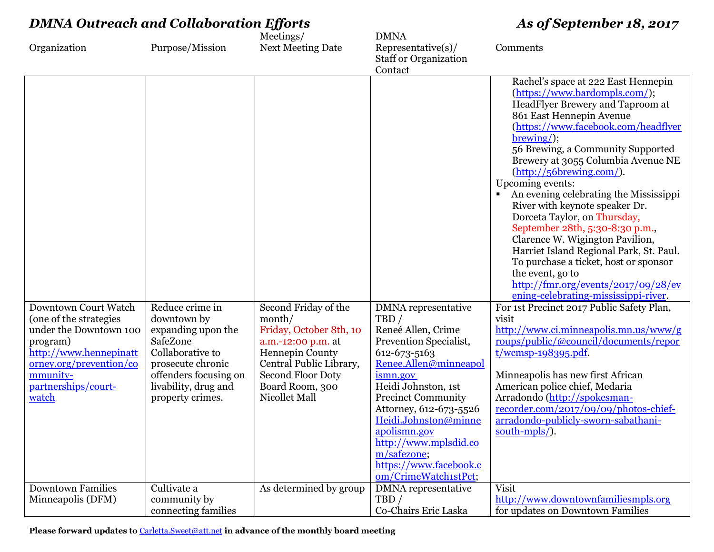| <b>DMNA Outreach and Collaboration Efforts</b>                                                                                                                                               |                                                                                                                                                                                |                                                                                                                                                                                               | As of September 18, 2017                                                                                                                                                                                                                                                                                                                                |                                                                                                                                                                                                                                                                                                                                                                                                                                                                                                                                                                                                                                                                                                                                                                                                                                                                                                                                                                                                                                                                                                   |
|----------------------------------------------------------------------------------------------------------------------------------------------------------------------------------------------|--------------------------------------------------------------------------------------------------------------------------------------------------------------------------------|-----------------------------------------------------------------------------------------------------------------------------------------------------------------------------------------------|---------------------------------------------------------------------------------------------------------------------------------------------------------------------------------------------------------------------------------------------------------------------------------------------------------------------------------------------------------|---------------------------------------------------------------------------------------------------------------------------------------------------------------------------------------------------------------------------------------------------------------------------------------------------------------------------------------------------------------------------------------------------------------------------------------------------------------------------------------------------------------------------------------------------------------------------------------------------------------------------------------------------------------------------------------------------------------------------------------------------------------------------------------------------------------------------------------------------------------------------------------------------------------------------------------------------------------------------------------------------------------------------------------------------------------------------------------------------|
| Organization                                                                                                                                                                                 | Purpose/Mission                                                                                                                                                                | Meetings/<br><b>Next Meeting Date</b>                                                                                                                                                         | <b>DMNA</b><br>$Representative(s)$ /<br><b>Staff or Organization</b><br>Contact                                                                                                                                                                                                                                                                         | Comments                                                                                                                                                                                                                                                                                                                                                                                                                                                                                                                                                                                                                                                                                                                                                                                                                                                                                                                                                                                                                                                                                          |
| Downtown Court Watch<br>(one of the strategies<br>under the Downtown 100<br>program)<br>http://www.hennepinatt<br><u>orney.org/prevention/co</u><br>mmunity-<br>partnerships/court-<br>watch | Reduce crime in<br>downtown by<br>expanding upon the<br>SafeZone<br>Collaborative to<br>prosecute chronic<br>offenders focusing on<br>livability, drug and<br>property crimes. | Second Friday of the<br>month/<br>Friday, October 8th, 10<br>a.m.-12:00 p.m. at<br>Hennepin County<br>Central Public Library,<br><b>Second Floor Doty</b><br>Board Room, 300<br>Nicollet Mall | <b>DMNA</b> representative<br>TBD/<br>Reneé Allen, Crime<br>Prevention Specialist,<br>612-673-5163<br>Renee.Allen@minneapol<br>ismn.gov<br>Heidi Johnston, 1st<br><b>Precinct Community</b><br>Attorney, 612-673-5526<br>Heidi,Johnston@minne<br>apolismn.gov<br>http://www.mplsdid.co<br>m/safezone;<br>https://www.facebook.c<br>om/CrimeWatch1stPct; | Rachel's space at 222 East Hennepin<br>(https://www.bardompls.com/);<br>HeadFlyer Brewery and Taproom at<br>861 East Hennepin Avenue<br>(https://www.facebook.com/headflyer<br>$brewing$ );<br>56 Brewing, a Community Supported<br>Brewery at 3055 Columbia Avenue NE<br>$(\frac{http://56brewing.com/}{$<br>Upcoming events:<br>An evening celebrating the Mississippi<br>River with keynote speaker Dr.<br>Dorceta Taylor, on Thursday,<br>September 28th, 5:30-8:30 p.m.,<br>Clarence W. Wigington Pavilion,<br>Harriet Island Regional Park, St. Paul.<br>To purchase a ticket, host or sponsor<br>the event, go to<br>$\frac{\text{http://fmr.org/events/2017/09/28/ev}}{$<br>ening-celebrating-mississippi-river.<br>For 1st Precinct 2017 Public Safety Plan,<br>visit<br>http://www.ci.minneapolis.mn.us/www/g<br>roups/public/@council/documents/repor<br>$t/wcmsp-198395.pdf.$<br>Minneapolis has new first African<br>American police chief, Medaria<br>Arradondo (http://spokesman-<br>recorder.com/2017/09/09/photos-chief-<br>arradondo-publicly-sworn-sabathani-<br>south-mpls/). |
| <b>Downtown Families</b><br>Minneapolis (DFM)                                                                                                                                                | Cultivate a<br>community by<br>connecting families                                                                                                                             | As determined by group                                                                                                                                                                        | <b>DMNA</b> representative<br>TBD/<br>Co-Chairs Eric Laska                                                                                                                                                                                                                                                                                              | <b>Visit</b><br>http://www.downtownfamiliesmpls.org<br>for updates on Downtown Families                                                                                                                                                                                                                                                                                                                                                                                                                                                                                                                                                                                                                                                                                                                                                                                                                                                                                                                                                                                                           |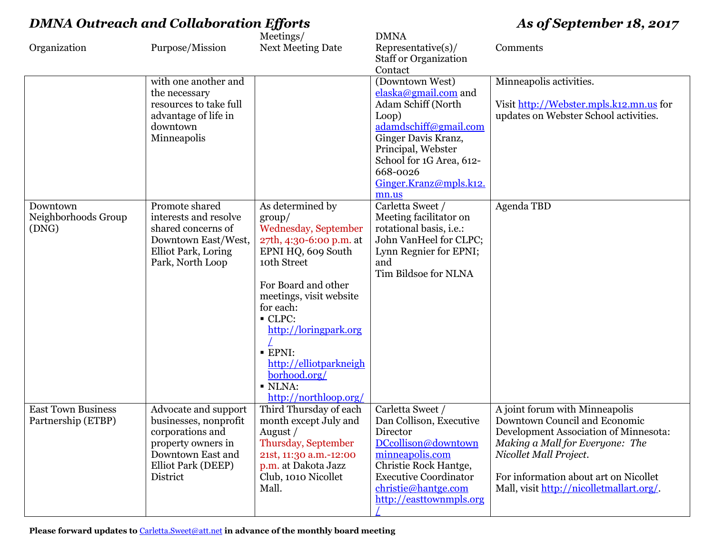|                           |                        | Meetings/                | <b>DMNA</b>                  |                                          |
|---------------------------|------------------------|--------------------------|------------------------------|------------------------------------------|
| Organization              | Purpose/Mission        | <b>Next Meeting Date</b> | $Representative(s)$ /        | Comments                                 |
|                           |                        |                          | <b>Staff or Organization</b> |                                          |
|                           |                        |                          | Contact                      |                                          |
|                           | with one another and   |                          | (Downtown West)              | Minneapolis activities.                  |
|                           | the necessary          |                          | elaska@gmail.com and         |                                          |
|                           | resources to take full |                          | Adam Schiff (North           | Visit http://Webster.mpls.k12.mn.us for  |
|                           | advantage of life in   |                          | Loop)                        | updates on Webster School activities.    |
|                           | downtown               |                          | adamdschiff@gmail.com        |                                          |
|                           | Minneapolis            |                          | Ginger Davis Kranz,          |                                          |
|                           |                        |                          | Principal, Webster           |                                          |
|                           |                        |                          | School for 1G Area, 612-     |                                          |
|                           |                        |                          | 668-0026                     |                                          |
|                           |                        |                          | Ginger.Kranz@mpls.k12.       |                                          |
|                           |                        |                          | mn.us                        |                                          |
| Downtown                  | Promote shared         | As determined by         | Carletta Sweet /             | Agenda TBD                               |
| Neighborhoods Group       | interests and resolve  | $\rm group/$             | Meeting facilitator on       |                                          |
| (DNG)                     | shared concerns of     | Wednesday, September     | rotational basis, i.e.:      |                                          |
|                           | Downtown East/West,    | 27th, 4:30-6:00 p.m. at  | John VanHeel for CLPC;       |                                          |
|                           | Elliot Park, Loring    | EPNI HQ, 609 South       | Lynn Regnier for EPNI;       |                                          |
|                           | Park, North Loop       | 10th Street              | and                          |                                          |
|                           |                        |                          | Tim Bildsoe for NLNA         |                                          |
|                           |                        | For Board and other      |                              |                                          |
|                           |                        | meetings, visit website  |                              |                                          |
|                           |                        | for each:                |                              |                                          |
|                           |                        | CLPC:                    |                              |                                          |
|                           |                        | http://loringpark.org    |                              |                                          |
|                           |                        |                          |                              |                                          |
|                           |                        | <b>EPNI:</b>             |                              |                                          |
|                           |                        | http://elliotparkneigh   |                              |                                          |
|                           |                        | borhood.org/             |                              |                                          |
|                           |                        | · NLNA:                  |                              |                                          |
|                           |                        | http://northloop.org/    |                              |                                          |
| <b>East Town Business</b> | Advocate and support   | Third Thursday of each   | Carletta Sweet /             | A joint forum with Minneapolis           |
| Partnership (ETBP)        | businesses, nonprofit  | month except July and    | Dan Collison, Executive      | Downtown Council and Economic            |
|                           | corporations and       | August /                 | Director                     | Development Association of Minnesota:    |
|                           | property owners in     | Thursday, September      | DCcollison@downtown          | Making a Mall for Everyone: The          |
|                           | Downtown East and      | 21st, 11:30 a.m.-12:00   | minneapolis.com              | Nicollet Mall Project.                   |
|                           | Elliot Park (DEEP)     | p.m. at Dakota Jazz      | Christie Rock Hantge,        |                                          |
|                           | District               | Club, 1010 Nicollet      | <b>Executive Coordinator</b> | For information about art on Nicollet    |
|                           |                        | Mall.                    | christie@hantge.com          | Mall, visit http://nicolletmallart.org/. |
|                           |                        |                          |                              |                                          |
|                           |                        |                          | http://easttownmpls.org      |                                          |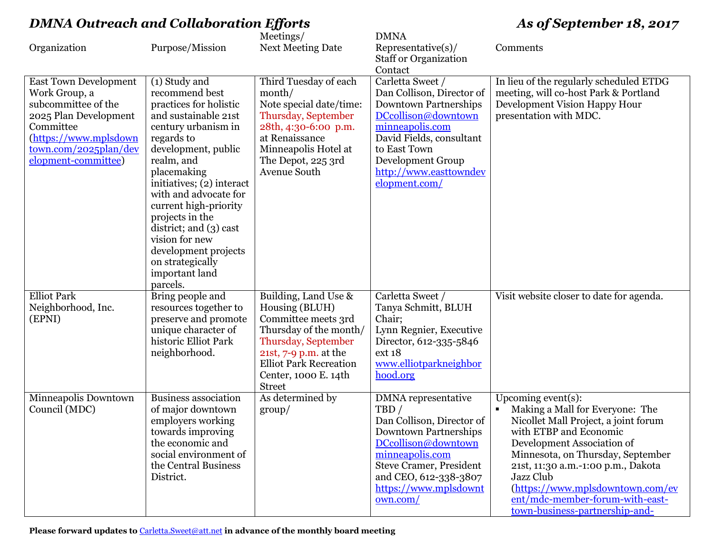| Organization                                                                                                                                                                        | Purpose/Mission                                                                                                                                                                                                                                                                                                                                                                                      | Meetings/<br><b>Next Meeting Date</b>                                                                                                                                                                             | <b>DMNA</b><br>$Representative(s)$ /<br><b>Staff or Organization</b>                                                                                                                                                                           | Comments                                                                                                                                                                                                                                                                                                                                                   |
|-------------------------------------------------------------------------------------------------------------------------------------------------------------------------------------|------------------------------------------------------------------------------------------------------------------------------------------------------------------------------------------------------------------------------------------------------------------------------------------------------------------------------------------------------------------------------------------------------|-------------------------------------------------------------------------------------------------------------------------------------------------------------------------------------------------------------------|------------------------------------------------------------------------------------------------------------------------------------------------------------------------------------------------------------------------------------------------|------------------------------------------------------------------------------------------------------------------------------------------------------------------------------------------------------------------------------------------------------------------------------------------------------------------------------------------------------------|
| <b>East Town Development</b><br>Work Group, a<br>subcommittee of the<br>2025 Plan Development<br>Committee<br>(https://www.mplsdown<br>town.com/2025plan/dev<br>elopment-committee) | (1) Study and<br>recommend best<br>practices for holistic<br>and sustainable 21st<br>century urbanism in<br>regards to<br>development, public<br>realm, and<br>placemaking<br>initiatives; (2) interact<br>with and advocate for<br>current high-priority<br>projects in the<br>district; and $(3)$ cast<br>vision for new<br>development projects<br>on strategically<br>important land<br>parcels. | Third Tuesday of each<br>month/<br>Note special date/time:<br>Thursday, September<br>28th, 4:30-6:00 p.m.<br>at Renaissance<br>Minneapolis Hotel at<br>The Depot, 225 3rd<br>Avenue South                         | Contact<br>Carletta Sweet /<br>Dan Collison, Director of<br><b>Downtown Partnerships</b><br>DCcollison@downtown<br>minneapolis.com<br>David Fields, consultant<br>to East Town<br>Development Group<br>http://www.easttowndev<br>elopment.com/ | In lieu of the regularly scheduled ETDG<br>meeting, will co-host Park & Portland<br>Development Vision Happy Hour<br>presentation with MDC.                                                                                                                                                                                                                |
| <b>Elliot Park</b><br>Neighborhood, Inc.<br>(EPNI)                                                                                                                                  | Bring people and<br>resources together to<br>preserve and promote<br>unique character of<br>historic Elliot Park<br>neighborhood.                                                                                                                                                                                                                                                                    | Building, Land Use &<br>Housing (BLUH)<br>Committee meets 3rd<br>Thursday of the month/<br>Thursday, September<br>21st, 7-9 p.m. at the<br><b>Elliot Park Recreation</b><br>Center, 1000 E. 14th<br><b>Street</b> | Carletta Sweet /<br>Tanya Schmitt, BLUH<br>Chair;<br>Lynn Regnier, Executive<br>Director, 612-335-5846<br>ext 18<br>www.elliotparkneighbor<br>hood.org                                                                                         | Visit website closer to date for agenda.                                                                                                                                                                                                                                                                                                                   |
| Minneapolis Downtown<br>Council (MDC)                                                                                                                                               | <b>Business association</b><br>of major downtown<br>employers working<br>towards improving<br>the economic and<br>social environment of<br>the Central Business<br>District.                                                                                                                                                                                                                         | As determined by<br>$\gamma$                                                                                                                                                                                      | <b>DMNA</b> representative<br>TBD/<br>Dan Collison, Director of<br><b>Downtown Partnerships</b><br>DCcollison@downtown<br>minneapolis.com<br><b>Steve Cramer, President</b><br>and CEO, 612-338-3807<br>https://www.mplsdownt<br>own.com/      | Upcoming event $(s)$ :<br>Making a Mall for Everyone: The<br>Nicollet Mall Project, a joint forum<br>with ETBP and Economic<br>Development Association of<br>Minnesota, on Thursday, September<br>21st, 11:30 a.m.-1:00 p.m., Dakota<br>Jazz Club<br>(https://www.mplsdowntown.com/ev<br>ent/mdc-member-forum-with-east-<br>town-business-partnership-and- |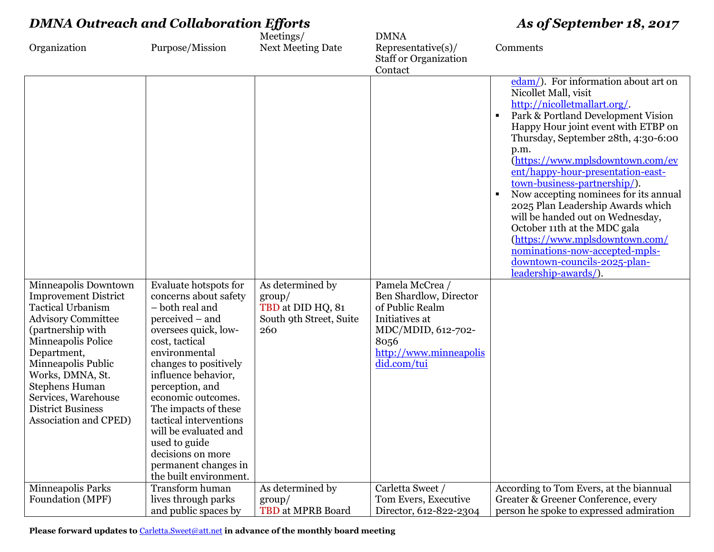| <b>DMNA Outreach and Collaboration Efforts</b>                                                                                                                                                                                                                                                                        |                                                                                                                                                                                                                                                                                                                                                                                                             |                                                                                     | As of September 18, 2017                                                                                                                              |                                                                                                                                                                                                                                                                                                                                                                                                                                                                                                                                                                                                                                                     |
|-----------------------------------------------------------------------------------------------------------------------------------------------------------------------------------------------------------------------------------------------------------------------------------------------------------------------|-------------------------------------------------------------------------------------------------------------------------------------------------------------------------------------------------------------------------------------------------------------------------------------------------------------------------------------------------------------------------------------------------------------|-------------------------------------------------------------------------------------|-------------------------------------------------------------------------------------------------------------------------------------------------------|-----------------------------------------------------------------------------------------------------------------------------------------------------------------------------------------------------------------------------------------------------------------------------------------------------------------------------------------------------------------------------------------------------------------------------------------------------------------------------------------------------------------------------------------------------------------------------------------------------------------------------------------------------|
| Organization                                                                                                                                                                                                                                                                                                          | Purpose/Mission                                                                                                                                                                                                                                                                                                                                                                                             | Meetings/<br><b>Next Meeting Date</b>                                               | <b>DMNA</b><br>Representative(s)/<br><b>Staff or Organization</b><br>Contact                                                                          | Comments                                                                                                                                                                                                                                                                                                                                                                                                                                                                                                                                                                                                                                            |
| Minneapolis Downtown<br><b>Improvement District</b><br><b>Tactical Urbanism</b><br><b>Advisory Committee</b><br>(partnership with<br>Minneapolis Police<br>Department,<br>Minneapolis Public<br>Works, DMNA, St.<br><b>Stephens Human</b><br>Services, Warehouse<br><b>District Business</b><br>Association and CPED) | Evaluate hotspots for<br>concerns about safety<br>- both real and<br>perceived – and<br>oversees quick, low-<br>cost, tactical<br>environmental<br>changes to positively<br>influence behavior,<br>perception, and<br>economic outcomes.<br>The impacts of these<br>tactical interventions<br>will be evaluated and<br>used to guide<br>decisions on more<br>permanent changes in<br>the built environment. | As determined by<br>$\gamma$<br>TBD at DID HQ, 81<br>South 9th Street, Suite<br>260 | Pamela McCrea /<br>Ben Shardlow, Director<br>of Public Realm<br>Initiatives at<br>MDC/MDID, 612-702-<br>8056<br>http://www.minneapolis<br>did.com/tui | edam/). For information about art on<br>Nicollet Mall, visit<br>http://nicolletmallart.org/.<br>Park & Portland Development Vision<br>$\blacksquare$<br>Happy Hour joint event with ETBP on<br>Thursday, September 28th, 4:30-6:00<br>p.m.<br>(https://www.mplsdowntown.com/ev<br>ent/happy-hour-presentation-east-<br>town-business-partnership/).<br>Now accepting nominees for its annual<br>$\blacksquare$<br>2025 Plan Leadership Awards which<br>will be handed out on Wednesday,<br>October 11th at the MDC gala<br>(https://www.mplsdowntown.com/<br>nominations-now-accepted-mpls-<br>downtown-councils-2025-plan-<br>leadership-awards/). |
| Minneapolis Parks<br>Foundation (MPF)                                                                                                                                                                                                                                                                                 | Transform human<br>lives through parks<br>and public spaces by                                                                                                                                                                                                                                                                                                                                              | As determined by<br>$\gamma$<br>TBD at MPRB Board                                   | Carletta Sweet /<br>Tom Evers, Executive<br>Director, 612-822-2304                                                                                    | According to Tom Evers, at the biannual<br>Greater & Greener Conference, every<br>person he spoke to expressed admiration                                                                                                                                                                                                                                                                                                                                                                                                                                                                                                                           |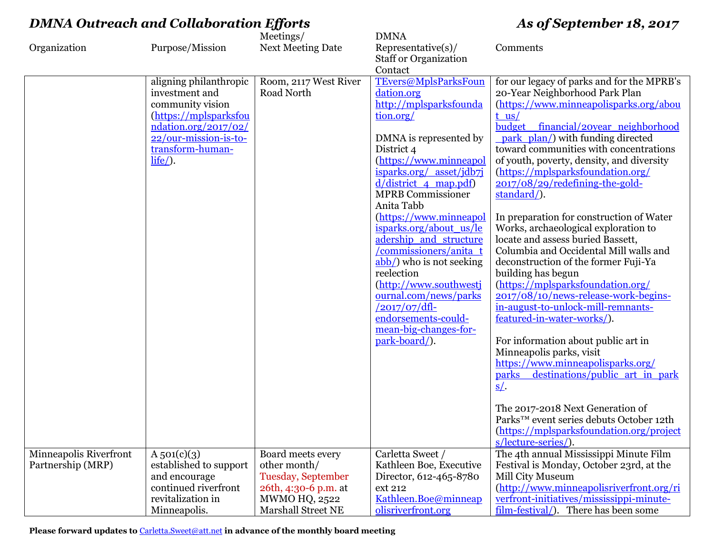|                        |                        | Meetings/                | <b>DMNA</b>                     |                                            |
|------------------------|------------------------|--------------------------|---------------------------------|--------------------------------------------|
| Organization           | Purpose/Mission        | <b>Next Meeting Date</b> | Representative(s)/              | Comments                                   |
|                        |                        |                          | <b>Staff or Organization</b>    |                                            |
|                        |                        |                          | Contact                         |                                            |
|                        | aligning philanthropic | Room, 2117 West River    | <b>TEvers@MplsParksFoun</b>     | for our legacy of parks and for the MPRB's |
|                        | investment and         | Road North               | dation.org                      | 20-Year Neighborhood Park Plan             |
|                        | community vision       |                          | http://mplsparksfounda          | (https://www.minneapolisparks.org/abou     |
|                        | (https://mplsparksfou  |                          | tion.org/                       | $t$ us/                                    |
|                        | ndation.org/2017/02/   |                          |                                 | budget financial/20year neighborhood       |
|                        | 22/our-mission-is-to-  |                          | DMNA is represented by          | park plan/) with funding directed          |
|                        | transform-human-       |                          | District 4                      | toward communities with concentrations     |
|                        | $life$ .               |                          | (https://www.minneapol          | of youth, poverty, density, and diversity  |
|                        |                        |                          | isparks.org/ asset/jdb7j        | (https://mplsparksfoundation.org/          |
|                        |                        |                          | $\frac{d}{district}$ 4 map.pdf) | 2017/08/29/redefining-the-gold-            |
|                        |                        |                          | <b>MPRB</b> Commissioner        | standard/).                                |
|                        |                        |                          | Anita Tabb                      |                                            |
|                        |                        |                          | (https://www.minneapol          | In preparation for construction of Water   |
|                        |                        |                          | isparks.org/about_us/le         | Works, archaeological exploration to       |
|                        |                        |                          | adership and structure          | locate and assess buried Bassett,          |
|                        |                        |                          | /commissioners/anita_t          | Columbia and Occidental Mill walls and     |
|                        |                        |                          | abb/) who is not seeking        | deconstruction of the former Fuji-Ya       |
|                        |                        |                          | reelection                      | building has begun                         |
|                        |                        |                          | (http://www.southwestj          | (https://mplsparksfoundation.org/          |
|                        |                        |                          | ournal.com/news/parks           | 2017/08/10/news-release-work-begins-       |
|                        |                        |                          | $/2017/07/dfl$ -                | in-august-to-unlock-mill-remnants-         |
|                        |                        |                          | endorsements-could-             | featured-in-water-works/).                 |
|                        |                        |                          | mean-big-changes-for-           |                                            |
|                        |                        |                          | park-board/).                   | For information about public art in        |
|                        |                        |                          |                                 | Minneapolis parks, visit                   |
|                        |                        |                          |                                 | https://www.minneapolisparks.org/          |
|                        |                        |                          |                                 | parks destinations/public art in park      |
|                        |                        |                          |                                 | $S/$ .                                     |
|                        |                        |                          |                                 |                                            |
|                        |                        |                          |                                 | The 2017-2018 Next Generation of           |
|                        |                        |                          |                                 | Parks™ event series debuts October 12th    |
|                        |                        |                          |                                 | (https://mplsparksfoundation.org/project   |
|                        |                        |                          |                                 | s/lecture-series/).                        |
| Minneapolis Riverfront | $A_{501}(c)(3)$        | Board meets every        | Carletta Sweet /                | The 4th annual Mississippi Minute Film     |
| Partnership (MRP)      | established to support | other month/             | Kathleen Boe, Executive         | Festival is Monday, October 23rd, at the   |
|                        | and encourage          | Tuesday, September       | Director, 612-465-8780          | Mill City Museum                           |
|                        | continued riverfront   | 26th, 4:30-6 p.m. at     | ext 212                         | (http://www.minneapolisriverfront.org/ri   |
|                        | revitalization in      | MWMO HQ, 2522            | Kathleen.Boe@minneap            | verfront-initiatives/mississippi-minute-   |
|                        | Minneapolis.           | Marshall Street NE       | olisriverfront.org              | film-festival/). There has been some       |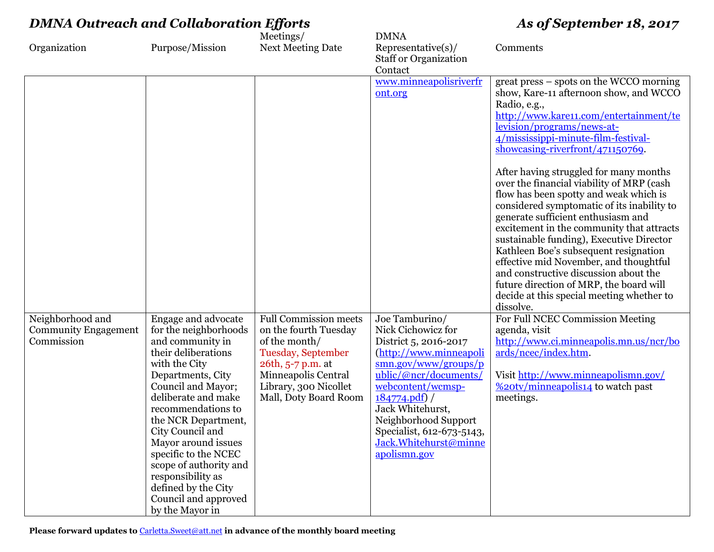| <b>DMNA Outreach and Collaboration Efforts</b>                |                                                                                                                                                                                                                                                                                                                                                                                                             |                                                                                                                                                                                            | As of September 18, 2017                                                                                                                                                                                                                                                                                                              |                                                                                                                                                                                                                                                                                                                                                                                                                                                                                                                                                                                                                                                                                                                                                                                                     |
|---------------------------------------------------------------|-------------------------------------------------------------------------------------------------------------------------------------------------------------------------------------------------------------------------------------------------------------------------------------------------------------------------------------------------------------------------------------------------------------|--------------------------------------------------------------------------------------------------------------------------------------------------------------------------------------------|---------------------------------------------------------------------------------------------------------------------------------------------------------------------------------------------------------------------------------------------------------------------------------------------------------------------------------------|-----------------------------------------------------------------------------------------------------------------------------------------------------------------------------------------------------------------------------------------------------------------------------------------------------------------------------------------------------------------------------------------------------------------------------------------------------------------------------------------------------------------------------------------------------------------------------------------------------------------------------------------------------------------------------------------------------------------------------------------------------------------------------------------------------|
| Organization                                                  | Purpose/Mission                                                                                                                                                                                                                                                                                                                                                                                             | Meetings/<br><b>Next Meeting Date</b>                                                                                                                                                      | <b>DMNA</b><br>Representative(s)/<br><b>Staff or Organization</b><br>Contact                                                                                                                                                                                                                                                          | Comments                                                                                                                                                                                                                                                                                                                                                                                                                                                                                                                                                                                                                                                                                                                                                                                            |
|                                                               |                                                                                                                                                                                                                                                                                                                                                                                                             |                                                                                                                                                                                            | www.minneapolisriverfr<br>ont.org                                                                                                                                                                                                                                                                                                     | great press – spots on the WCCO morning<br>show, Kare-11 afternoon show, and WCCO<br>Radio, e.g.,<br>http://www.kare11.com/entertainment/te<br>levision/programs/news-at-<br>4/mississippi-minute-film-festival-<br>showcasing-riverfront/471150769.<br>After having struggled for many months<br>over the financial viability of MRP (cash<br>flow has been spotty and weak which is<br>considered symptomatic of its inability to<br>generate sufficient enthusiasm and<br>excitement in the community that attracts<br>sustainable funding), Executive Director<br>Kathleen Boe's subsequent resignation<br>effective mid November, and thoughtful<br>and constructive discussion about the<br>future direction of MRP, the board will<br>decide at this special meeting whether to<br>dissolve. |
| Neighborhood and<br><b>Community Engagement</b><br>Commission | Engage and advocate<br>for the neighborhoods<br>and community in<br>their deliberations<br>with the City<br>Departments, City<br>Council and Mayor;<br>deliberate and make<br>recommendations to<br>the NCR Department,<br>City Council and<br>Mayor around issues<br>specific to the NCEC<br>scope of authority and<br>responsibility as<br>defined by the City<br>Council and approved<br>by the Mayor in | <b>Full Commission meets</b><br>on the fourth Tuesday<br>of the month/<br>Tuesday, September<br>26th, 5-7 p.m. at<br>Minneapolis Central<br>Library, 300 Nicollet<br>Mall, Doty Board Room | Joe Tamburino/<br>Nick Cichowicz for<br>District 5, 2016-2017<br>(http://www.minneapoli<br>$\frac{\text{smn.gov}/\text{www}/\text{groups}/\text{p}}{2}$<br>ublic/@ncr/documents/<br>webcontent/wcmsp-<br>184774.pdf<br>Jack Whitehurst,<br>Neighborhood Support<br>Specialist, 612-673-5143,<br>Jack.Whitehurst@minne<br>apolismn.gov | For Full NCEC Commission Meeting<br>agenda, visit<br>http://www.ci.minneapolis.mn.us/ncr/bo<br>ards/ncec/index.htm.<br>Visit http://www.minneapolismn.gov/<br>%20tv/minneapolis14 to watch past<br>meetings.                                                                                                                                                                                                                                                                                                                                                                                                                                                                                                                                                                                        |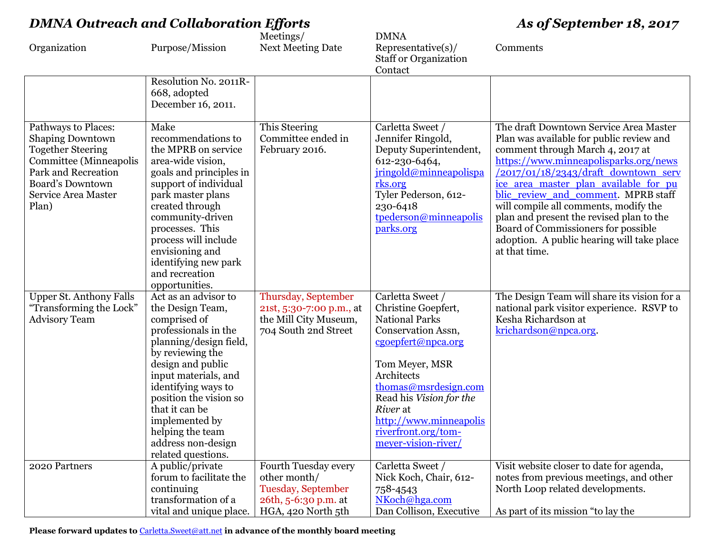| Organization                                                                                                                                                                           | Purpose/Mission                                                                                                                                                                                                                                                                                                                  | Meetings/<br><b>Next Meeting Date</b>                                                                    | <b>DMNA</b><br>$Representative(s)$ /<br><b>Staff or Organization</b>                                                                                                                                                                                                                | Comments                                                                                                                                                                                                                                                                                                                                                                                                                                                                                      |
|----------------------------------------------------------------------------------------------------------------------------------------------------------------------------------------|----------------------------------------------------------------------------------------------------------------------------------------------------------------------------------------------------------------------------------------------------------------------------------------------------------------------------------|----------------------------------------------------------------------------------------------------------|-------------------------------------------------------------------------------------------------------------------------------------------------------------------------------------------------------------------------------------------------------------------------------------|-----------------------------------------------------------------------------------------------------------------------------------------------------------------------------------------------------------------------------------------------------------------------------------------------------------------------------------------------------------------------------------------------------------------------------------------------------------------------------------------------|
|                                                                                                                                                                                        | Resolution No. 2011R-<br>668, adopted<br>December 16, 2011.                                                                                                                                                                                                                                                                      |                                                                                                          | Contact                                                                                                                                                                                                                                                                             |                                                                                                                                                                                                                                                                                                                                                                                                                                                                                               |
| Pathways to Places:<br><b>Shaping Downtown</b><br><b>Together Steering</b><br>Committee (Minneapolis<br>Park and Recreation<br><b>Board's Downtown</b><br>Service Area Master<br>Plan) | Make<br>recommendations to<br>the MPRB on service<br>area-wide vision,<br>goals and principles in<br>support of individual<br>park master plans<br>created through<br>community-driven<br>processes. This<br>process will include<br>envisioning and<br>identifying new park<br>and recreation<br>opportunities.                 | This Steering<br>Committee ended in<br>February 2016.                                                    | Carletta Sweet /<br>Jennifer Ringold,<br>Deputy Superintendent,<br>612-230-6464,<br>jringold@minneapolispa<br>rks.org<br>Tyler Pederson, 612-<br>230-6418<br>tpederson@minneapolis<br>parks.org                                                                                     | The draft Downtown Service Area Master<br>Plan was available for public review and<br>comment through March 4, 2017 at<br>https://www.minneapolisparks.org/news<br>$\frac{12017}{01/18/2343}/$ draft downtown serv<br>ice area master plan available for pu<br>blic review and comment. MPRB staff<br>will compile all comments, modify the<br>plan and present the revised plan to the<br>Board of Commissioners for possible<br>adoption. A public hearing will take place<br>at that time. |
| <b>Upper St. Anthony Falls</b><br>"Transforming the Lock"<br><b>Advisory Team</b>                                                                                                      | Act as an advisor to<br>the Design Team,<br>comprised of<br>professionals in the<br>planning/design field,<br>by reviewing the<br>design and public<br>input materials, and<br>identifying ways to<br>position the vision so<br>that it can be<br>implemented by<br>helping the team<br>address non-design<br>related questions. | Thursday, September<br>21st, 5:30-7:00 p.m., at<br>the Mill City Museum,<br>704 South 2nd Street         | Carletta Sweet /<br>Christine Goepfert,<br><b>National Parks</b><br>Conservation Assn,<br>cgoepfert@npca.org<br>Tom Meyer, MSR<br>Architects<br>thomas@msrdesign.com<br>Read his Vision for the<br>River at<br>http://www.minneapolis<br>riverfront.org/tom-<br>meyer-vision-river/ | The Design Team will share its vision for a<br>national park visitor experience. RSVP to<br>Kesha Richardson at<br>krichardson@npca.org.                                                                                                                                                                                                                                                                                                                                                      |
| 2020 Partners                                                                                                                                                                          | A public/private<br>forum to facilitate the<br>continuing<br>transformation of a<br>vital and unique place.                                                                                                                                                                                                                      | Fourth Tuesday every<br>other month/<br>Tuesday, September<br>26th, 5-6:30 p.m. at<br>HGA, 420 North 5th | Carletta Sweet /<br>Nick Koch, Chair, 612-<br>758-4543<br>NKoch@hga.com<br>Dan Collison, Executive                                                                                                                                                                                  | Visit website closer to date for agenda,<br>notes from previous meetings, and other<br>North Loop related developments.<br>As part of its mission "to lay the                                                                                                                                                                                                                                                                                                                                 |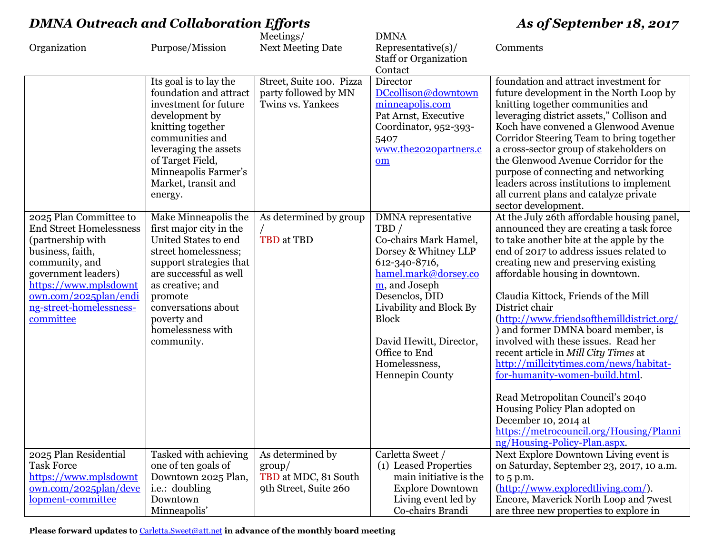|  | <b>DMNA Outreach and Collaboration Efforts</b> |  |  |  |  |
|--|------------------------------------------------|--|--|--|--|
|--|------------------------------------------------|--|--|--|--|

# *D DMNA As of September 18, 2017*

|                                            |                                              | Meetings/                      | <b>DMNA</b>                               |                                                         |
|--------------------------------------------|----------------------------------------------|--------------------------------|-------------------------------------------|---------------------------------------------------------|
| Organization                               | Purpose/Mission                              | <b>Next Meeting Date</b>       | Representative(s)                         | Comments                                                |
|                                            |                                              |                                | <b>Staff or Organization</b>              |                                                         |
|                                            |                                              |                                | Contact                                   |                                                         |
|                                            | Its goal is to lay the                       | Street, Suite 100. Pizza       | Director                                  | foundation and attract investment for                   |
|                                            | foundation and attract                       | party followed by MN           | DCcollison@downtown                       | future development in the North Loop by                 |
|                                            | investment for future                        | Twins vs. Yankees              | minneapolis.com                           | knitting together communities and                       |
|                                            | development by                               |                                | Pat Arnst, Executive                      | leveraging district assets," Collison and               |
|                                            | knitting together                            |                                | Coordinator, 952-393-                     | Koch have convened a Glenwood Avenue                    |
|                                            | communities and                              |                                | 5407                                      | Corridor Steering Team to bring together                |
|                                            | leveraging the assets                        |                                | www.the2020partners.c                     | a cross-sector group of stakeholders on                 |
|                                            | of Target Field,                             |                                | om                                        | the Glenwood Avenue Corridor for the                    |
|                                            | Minneapolis Farmer's                         |                                |                                           | purpose of connecting and networking                    |
|                                            | Market, transit and                          |                                |                                           | leaders across institutions to implement                |
|                                            | energy.                                      |                                |                                           | all current plans and catalyze private                  |
|                                            |                                              |                                |                                           | sector development.                                     |
| 2025 Plan Committee to                     | Make Minneapolis the                         | As determined by group         | <b>DMNA</b> representative                | At the July 26th affordable housing panel,              |
| <b>End Street Homelessness</b>             | first major city in the                      |                                | TBD/                                      | announced they are creating a task force                |
| (partnership with                          | United States to end                         | TBD at TBD                     | Co-chairs Mark Hamel,                     | to take another bite at the apple by the                |
| business, faith,                           | street homelessness;                         |                                | Dorsey & Whitney LLP                      | end of 2017 to address issues related to                |
| community, and                             | support strategies that                      |                                | 612-340-8716,                             | creating new and preserving existing                    |
| government leaders)                        | are successful as well                       |                                | hamel.mark@dorsey.co                      | affordable housing in downtown.                         |
| https://www.mplsdownt                      | as creative; and                             |                                | m, and Joseph                             |                                                         |
| own.com/2025plan/endi                      | promote                                      |                                | Desenclos, DID                            | Claudia Kittock, Friends of the Mill                    |
| ng-street-homelessness-                    | conversations about                          |                                | Livability and Block By                   | District chair                                          |
| committee                                  | poverty and                                  |                                | <b>Block</b>                              | (http://www.friendsofthemilldistrict.org/               |
|                                            | homelessness with                            |                                |                                           | ) and former DMNA board member, is                      |
|                                            | community.                                   |                                | David Hewitt, Director,                   | involved with these issues. Read her                    |
|                                            |                                              |                                | Office to End                             | recent article in Mill City Times at                    |
|                                            |                                              |                                | Homelessness,                             | http://millcitytimes.com/news/habitat-                  |
|                                            |                                              |                                | Hennepin County                           | for-humanity-women-build.html.                          |
|                                            |                                              |                                |                                           |                                                         |
|                                            |                                              |                                |                                           | Read Metropolitan Council's 2040                        |
|                                            |                                              |                                |                                           | Housing Policy Plan adopted on                          |
|                                            |                                              |                                |                                           | December 10, 2014 at                                    |
|                                            |                                              |                                |                                           | https://metrocouncil.org/Housing/Planni                 |
|                                            |                                              |                                |                                           | ng/Housing-Policy-Plan.aspx.                            |
| 2025 Plan Residential<br><b>Task Force</b> | Tasked with achieving<br>one of ten goals of | As determined by               | Carletta Sweet /<br>(1) Leased Properties | Next Explore Downtown Living event is                   |
| https://www.mplsdownt                      | Downtown 2025 Plan,                          | group/<br>TBD at MDC, 81 South | main initiative is the                    | on Saturday, September 23, 2017, 10 a.m.<br>to $5 p.m.$ |
| own.com/2025plan/deve                      | i.e.: doubling                               | 9th Street, Suite 260          | <b>Explore Downtown</b>                   | (http://www.exploredtliving.com/).                      |
| lopment-committee                          | Downtown                                     |                                | Living event led by                       | Encore, Maverick North Loop and 7west                   |
|                                            |                                              |                                |                                           | are three new properties to explore in                  |
|                                            | Minneapolis'                                 |                                | Co-chairs Brandi                          |                                                         |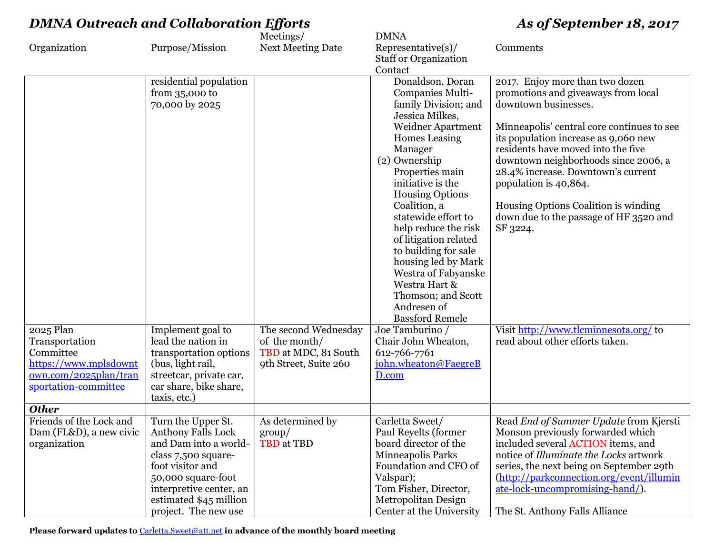|                             |                                                   | Meetings/                             | <b>DMNA</b>                            |                                                                            |
|-----------------------------|---------------------------------------------------|---------------------------------------|----------------------------------------|----------------------------------------------------------------------------|
| Organization                | Purpose/Mission                                   | <b>Next Meeting Date</b>              | $Representative(s)$ /                  | Comments                                                                   |
|                             |                                                   |                                       | <b>Staff or Organization</b>           |                                                                            |
|                             |                                                   |                                       | Contact                                |                                                                            |
|                             | residential population                            |                                       | Donaldson, Doran                       | 2017. Enjoy more than two dozen                                            |
|                             | from $35,000$ to                                  |                                       | Companies Multi-                       | promotions and give aways from local                                       |
|                             | 70,000 by 2025                                    |                                       | family Division; and                   | downtown businesses.                                                       |
|                             |                                                   |                                       | Jessica Milkes,                        |                                                                            |
|                             |                                                   |                                       | <b>Weidner Apartment</b>               | Minneapolis' central core continues to see                                 |
|                             |                                                   |                                       | <b>Homes</b> Leasing<br>Manager        | its population increase as 9,060 new<br>residents have moved into the five |
|                             |                                                   |                                       | (2) Ownership                          | downtown neighborhoods since 2006, a                                       |
|                             |                                                   |                                       | Properties main                        | 28.4% increase. Downtown's current                                         |
|                             |                                                   |                                       | initiative is the                      | population is 40,864.                                                      |
|                             |                                                   |                                       | <b>Housing Options</b>                 |                                                                            |
|                             |                                                   |                                       | Coalition, a                           | Housing Options Coalition is winding                                       |
|                             |                                                   |                                       | statewide effort to                    | down due to the passage of HF 3520 and                                     |
|                             |                                                   |                                       | help reduce the risk                   | SF 3224.                                                                   |
|                             |                                                   |                                       | of litigation related                  |                                                                            |
|                             |                                                   |                                       | to building for sale                   |                                                                            |
|                             |                                                   |                                       | housing led by Mark                    |                                                                            |
|                             |                                                   |                                       | Westra of Fabyanske                    |                                                                            |
|                             |                                                   |                                       | Westra Hart &                          |                                                                            |
|                             |                                                   |                                       | Thomson; and Scott                     |                                                                            |
|                             |                                                   |                                       | Andresen of                            |                                                                            |
|                             |                                                   |                                       | <b>Bassford Remele</b>                 | Visit http://www.tlcminnesota.org/ to                                      |
| 2025 Plan<br>Transportation | Implement goal to<br>lead the nation in           | The second Wednesday<br>of the month/ | Joe Tamburino /<br>Chair John Wheaton, | read about other efforts taken.                                            |
| Committee                   | transportation options                            | TBD at MDC, 81 South                  | 612-766-7761                           |                                                                            |
| https://www.mplsdownt       | (bus, light rail,                                 | 9th Street, Suite 260                 | john.wheaton@FaegreB                   |                                                                            |
| own.com/2025plan/tran       | streetcar, private car,                           |                                       | D.com                                  |                                                                            |
| sportation-committee        | car share, bike share,                            |                                       |                                        |                                                                            |
|                             | taxis, etc.)                                      |                                       |                                        |                                                                            |
| <b>Other</b>                |                                                   |                                       |                                        |                                                                            |
| Friends of the Lock and     | Turn the Upper St.                                | As determined by                      | Carletta Sweet/                        | Read End of Summer Update from Kjersti                                     |
| Dam (FL&D), a new civic     | <b>Anthony Falls Lock</b>                         | $\gamma$                              | Paul Reyelts (former                   | Monson previously forwarded which                                          |
| organization                | and Dam into a world-                             | TBD at TBD                            | board director of the                  | included several ACTION items, and                                         |
|                             | class 7,500 square-                               |                                       | Minneapolis Parks                      | notice of Illuminate the Locks artwork                                     |
|                             | foot visitor and                                  |                                       | Foundation and CFO of                  | series, the next being on September 29th                                   |
|                             | 50,000 square-foot                                |                                       | Valspar);                              | (http://parkconnection.org/event/illumin                                   |
|                             | interpretive center, an<br>estimated \$45 million |                                       | Tom Fisher, Director,                  | ate-lock-uncompromising-hand/).                                            |
|                             |                                                   |                                       | Metropolitan Design                    |                                                                            |
|                             | project. The new use                              |                                       | Center at the University               | The St. Anthony Falls Alliance                                             |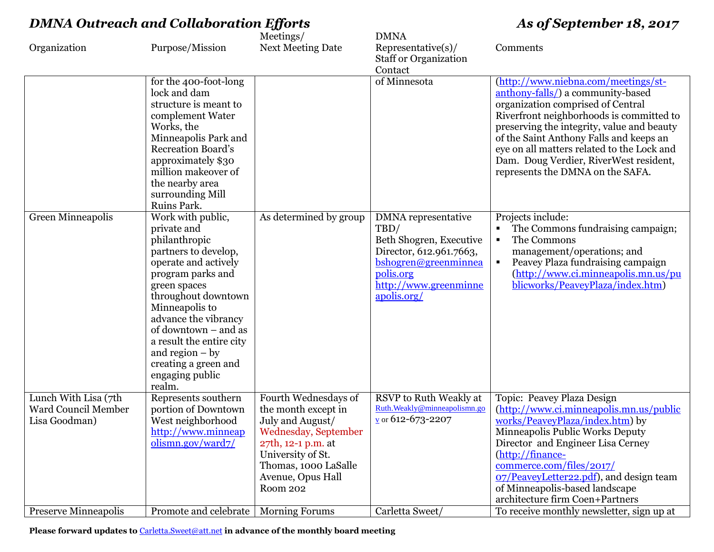|                                                              |                                                                                                                                                                                                                                                                                                                                       | Meetings/                                                                                                                                                                                   | <b>DMNA</b>                                                                                                                                                    |                                                                                                                                                                                                                                                                                                                                                                                |
|--------------------------------------------------------------|---------------------------------------------------------------------------------------------------------------------------------------------------------------------------------------------------------------------------------------------------------------------------------------------------------------------------------------|---------------------------------------------------------------------------------------------------------------------------------------------------------------------------------------------|----------------------------------------------------------------------------------------------------------------------------------------------------------------|--------------------------------------------------------------------------------------------------------------------------------------------------------------------------------------------------------------------------------------------------------------------------------------------------------------------------------------------------------------------------------|
| Organization                                                 | Purpose/Mission                                                                                                                                                                                                                                                                                                                       | <b>Next Meeting Date</b>                                                                                                                                                                    | $Representative(s)$ /<br><b>Staff or Organization</b><br>Contact                                                                                               | Comments                                                                                                                                                                                                                                                                                                                                                                       |
|                                                              | for the 400-foot-long<br>lock and dam<br>structure is meant to<br>complement Water<br>Works, the<br>Minneapolis Park and<br><b>Recreation Board's</b><br>approximately \$30<br>million makeover of<br>the nearby area<br>surrounding Mill<br>Ruins Park.                                                                              |                                                                                                                                                                                             | of Minnesota                                                                                                                                                   | (http://www.niebna.com/meetings/st-<br>anthony-falls/) a community-based<br>organization comprised of Central<br>Riverfront neighborhoods is committed to<br>preserving the integrity, value and beauty<br>of the Saint Anthony Falls and keeps an<br>eye on all matters related to the Lock and<br>Dam. Doug Verdier, RiverWest resident,<br>represents the DMNA on the SAFA. |
| Green Minneapolis                                            | Work with public,<br>private and<br>philanthropic<br>partners to develop,<br>operate and actively<br>program parks and<br>green spaces<br>throughout downtown<br>Minneapolis to<br>advance the vibrancy<br>of downtown – and as<br>a result the entire city<br>and region $-$ by<br>creating a green and<br>engaging public<br>realm. | As determined by group                                                                                                                                                                      | DMNA representative<br>TBD/<br>Beth Shogren, Executive<br>Director, 612.961.7663,<br>bshogren@greenminnea<br>polis.org<br>http://www.greenminne<br>apolis.org/ | Projects include:<br>The Commons fundraising campaign;<br>The Commons<br>$\blacksquare$<br>management/operations; and<br>Peavey Plaza fundraising campaign<br>$\blacksquare$<br>(http://www.ci.minneapolis.mn.us/pu<br>blicworks/PeaveyPlaza/index.htm)                                                                                                                        |
| Lunch With Lisa (7th<br>Ward Council Member<br>Lisa Goodman) | Represents southern<br>portion of Downtown<br>West neighborhood<br>http://www.minneap<br>olismn.gov/ward7/                                                                                                                                                                                                                            | Fourth Wednesdays of<br>the month except in<br>July and August/<br>Wednesday, September<br>27th, 12-1 p.m. at<br>University of St.<br>Thomas, 1000 LaSalle<br>Avenue, Opus Hall<br>Room 202 | RSVP to Ruth Weakly at<br>Ruth.Weakly@minneapolismn.go<br>$\frac{v}{2}$ or 612-673-2207                                                                        | Topic: Peavey Plaza Design<br>(http://www.ci.minneapolis.mn.us/public<br>works/PeaveyPlaza/index.htm) by<br>Minneapolis Public Works Deputy<br>Director and Engineer Lisa Cerney<br>(http://finance-<br>commerce.com/files/2017/<br>07/PeaveyLetter22.pdf), and design team<br>of Minneapolis-based landscape<br>architecture firm Coen+Partners                               |
| <b>Preserve Minneapolis</b>                                  | Promote and celebrate                                                                                                                                                                                                                                                                                                                 | <b>Morning Forums</b>                                                                                                                                                                       | Carletta Sweet/                                                                                                                                                | To receive monthly newsletter, sign up at                                                                                                                                                                                                                                                                                                                                      |